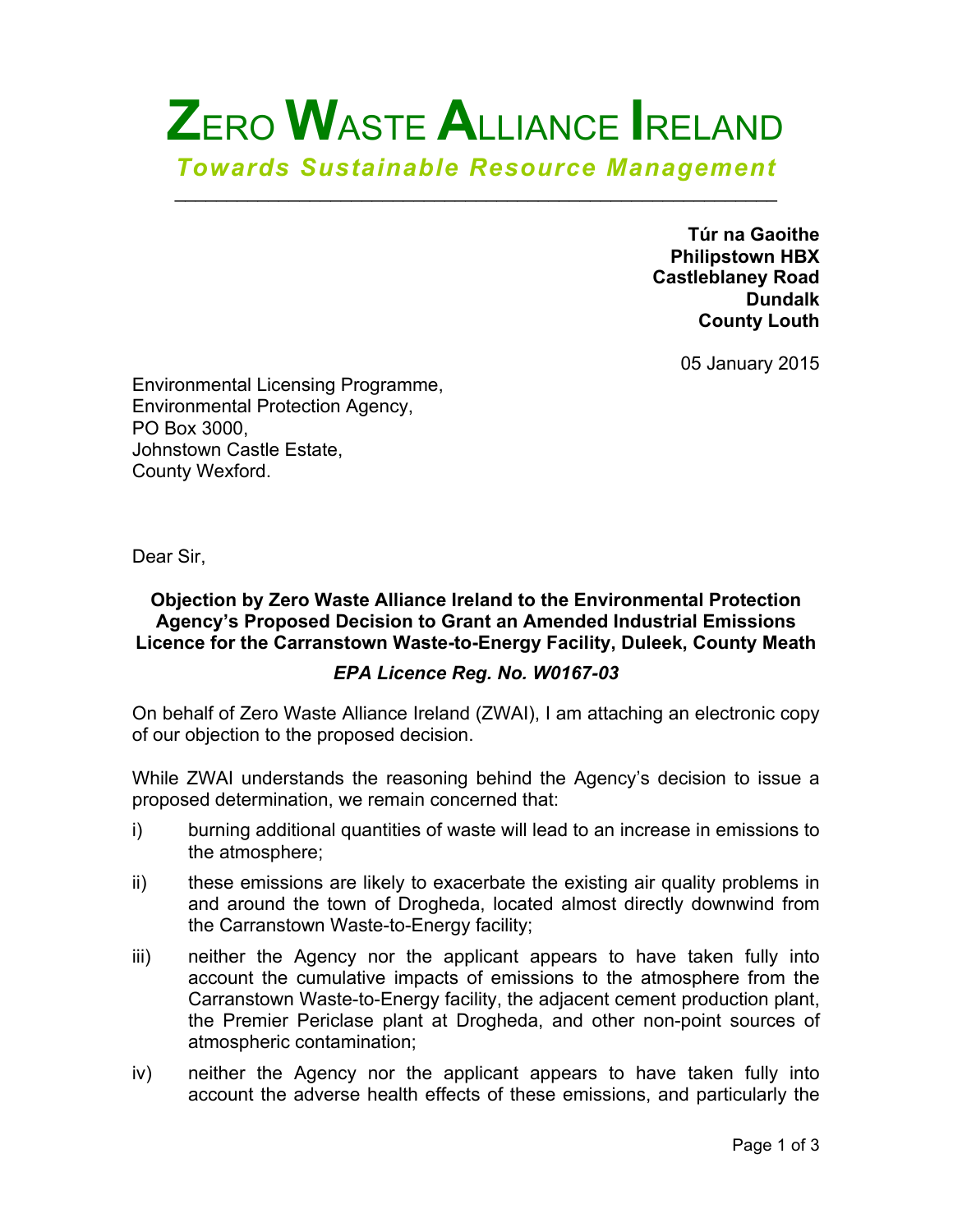# **Z**ERO **W**ASTE **A**LLIANCE **I**RELAND *Towards Sustainable Resource Management*

 $\mathcal{L}_\text{max}$  and  $\mathcal{L}_\text{max}$  and  $\mathcal{L}_\text{max}$  and  $\mathcal{L}_\text{max}$  and  $\mathcal{L}_\text{max}$ 

**Túr na Gaoithe Philipstown HBX Castleblaney Road Dundalk County Louth**

05 January 2015

Environmental Licensing Programme, Environmental Protection Agency, PO Box 3000, Johnstown Castle Estate, County Wexford.

Dear Sir,

#### **Objection by Zero Waste Alliance Ireland to the Environmental Protection Agency's Proposed Decision to Grant an Amended Industrial Emissions Licence for the Carranstown Waste-to-Energy Facility, Duleek, County Meath**

#### *EPA Licence Reg. No. W0167-03*

On behalf of Zero Waste Alliance Ireland (ZWAI), I am attaching an electronic copy of our objection to the proposed decision.

While ZWAI understands the reasoning behind the Agency's decision to issue a proposed determination, we remain concerned that:

- i) burning additional quantities of waste will lead to an increase in emissions to the atmosphere;
- ii) these emissions are likely to exacerbate the existing air quality problems in and around the town of Drogheda, located almost directly downwind from the Carranstown Waste-to-Energy facility;
- iii) neither the Agency nor the applicant appears to have taken fully into account the cumulative impacts of emissions to the atmosphere from the Carranstown Waste-to-Energy facility, the adjacent cement production plant, the Premier Periclase plant at Drogheda, and other non-point sources of atmospheric contamination;
- iv) neither the Agency nor the applicant appears to have taken fully into account the adverse health effects of these emissions, and particularly the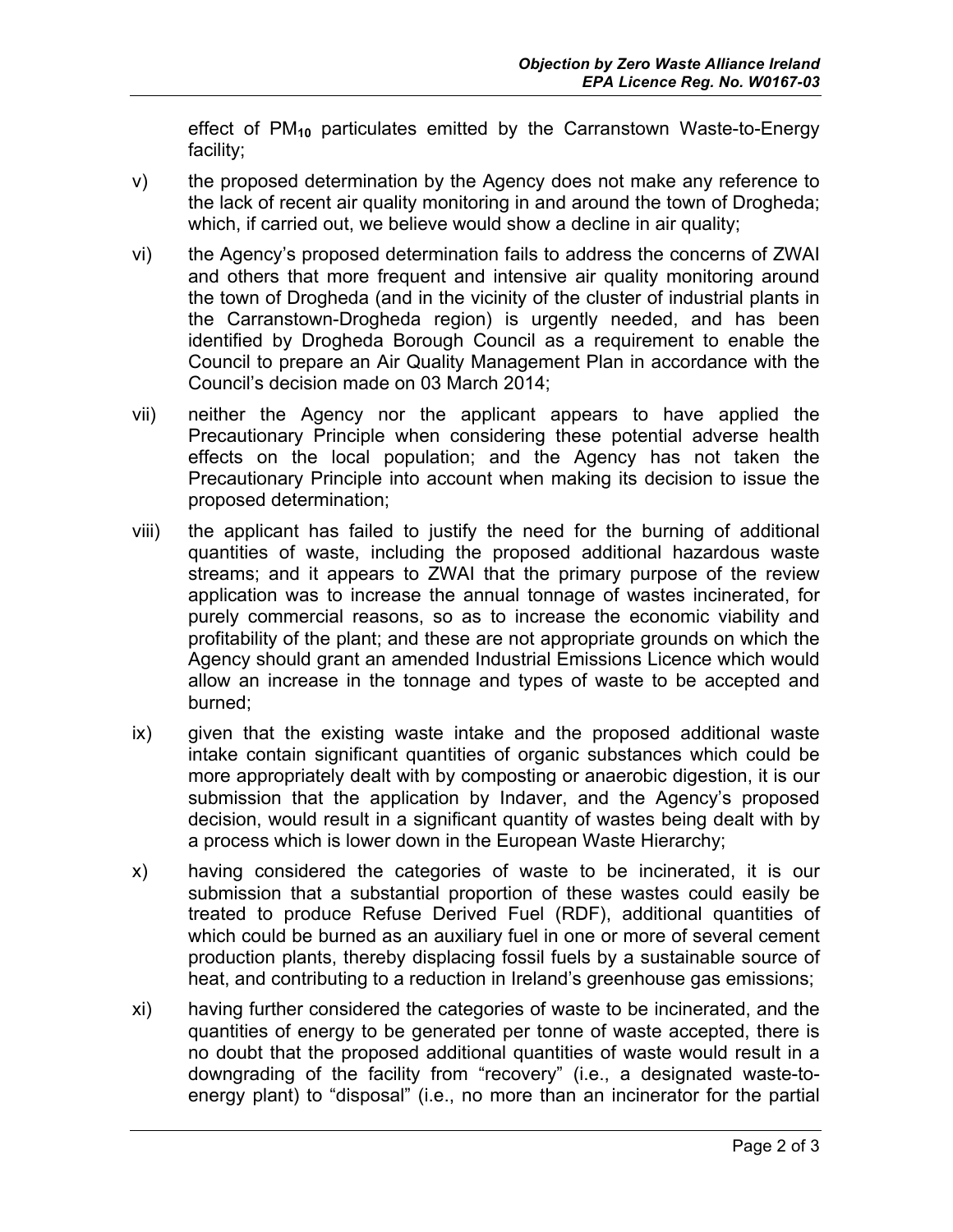effect of PM**<sup>10</sup>** particulates emitted by the Carranstown Waste-to-Energy facility;

- v) the proposed determination by the Agency does not make any reference to the lack of recent air quality monitoring in and around the town of Drogheda; which, if carried out, we believe would show a decline in air quality;
- vi) the Agency's proposed determination fails to address the concerns of ZWAI and others that more frequent and intensive air quality monitoring around the town of Drogheda (and in the vicinity of the cluster of industrial plants in the Carranstown-Drogheda region) is urgently needed, and has been identified by Drogheda Borough Council as a requirement to enable the Council to prepare an Air Quality Management Plan in accordance with the Council's decision made on 03 March 2014;
- vii) neither the Agency nor the applicant appears to have applied the Precautionary Principle when considering these potential adverse health effects on the local population; and the Agency has not taken the Precautionary Principle into account when making its decision to issue the proposed determination;
- viii) the applicant has failed to justify the need for the burning of additional quantities of waste, including the proposed additional hazardous waste streams; and it appears to ZWAI that the primary purpose of the review application was to increase the annual tonnage of wastes incinerated, for purely commercial reasons, so as to increase the economic viability and profitability of the plant; and these are not appropriate grounds on which the Agency should grant an amended Industrial Emissions Licence which would allow an increase in the tonnage and types of waste to be accepted and burned;
- ix) given that the existing waste intake and the proposed additional waste intake contain significant quantities of organic substances which could be more appropriately dealt with by composting or anaerobic digestion, it is our submission that the application by Indaver, and the Agency's proposed decision, would result in a significant quantity of wastes being dealt with by a process which is lower down in the European Waste Hierarchy;
- x) having considered the categories of waste to be incinerated, it is our submission that a substantial proportion of these wastes could easily be treated to produce Refuse Derived Fuel (RDF), additional quantities of which could be burned as an auxiliary fuel in one or more of several cement production plants, thereby displacing fossil fuels by a sustainable source of heat, and contributing to a reduction in Ireland's greenhouse gas emissions;
- xi) having further considered the categories of waste to be incinerated, and the quantities of energy to be generated per tonne of waste accepted, there is no doubt that the proposed additional quantities of waste would result in a downgrading of the facility from "recovery" (i.e., a designated waste-toenergy plant) to "disposal" (i.e., no more than an incinerator for the partial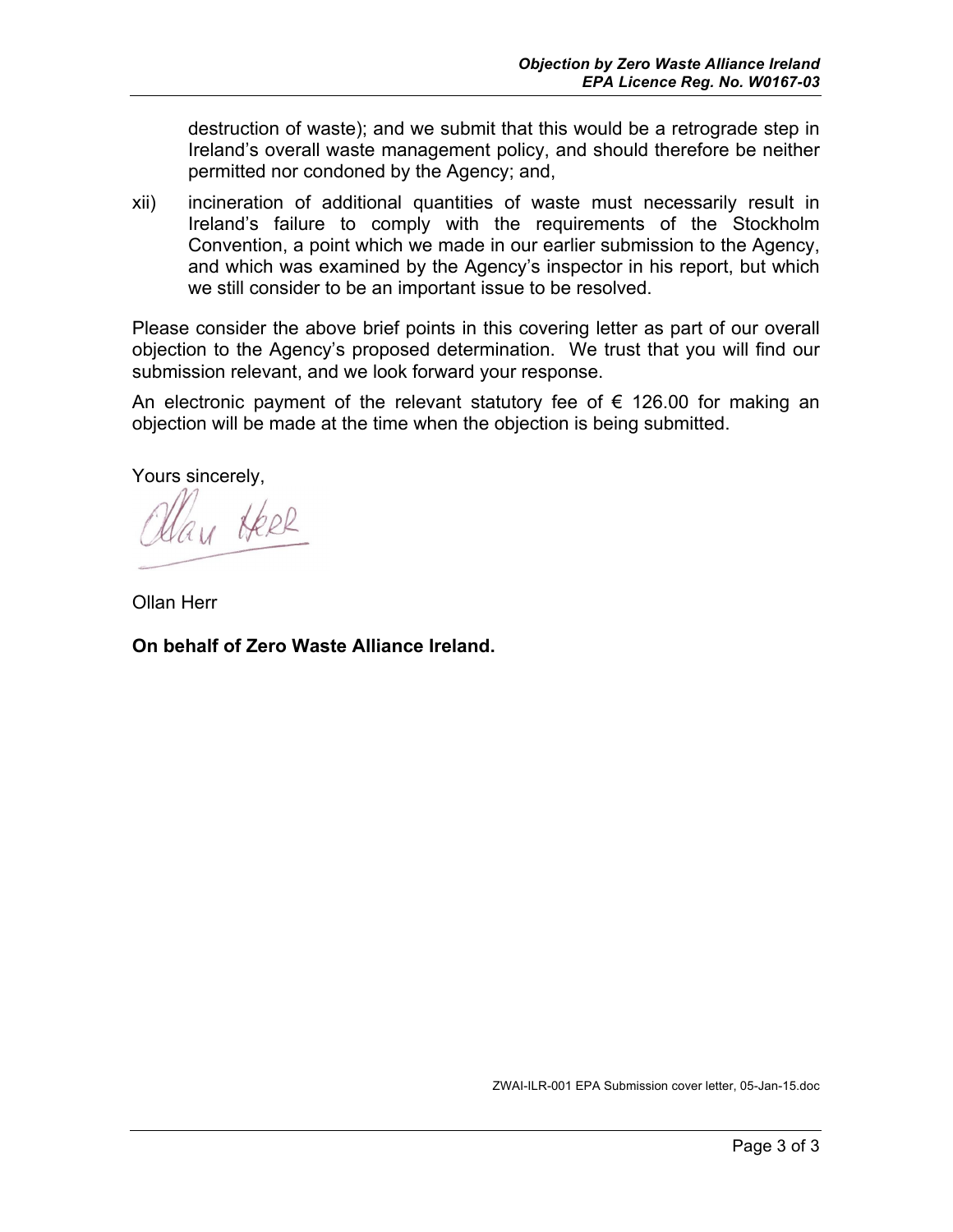destruction of waste); and we submit that this would be a retrograde step in Ireland's overall waste management policy, and should therefore be neither permitted nor condoned by the Agency; and,

xii) incineration of additional quantities of waste must necessarily result in Ireland's failure to comply with the requirements of the Stockholm Convention, a point which we made in our earlier submission to the Agency, and which was examined by the Agency's inspector in his report, but which we still consider to be an important issue to be resolved.

Please consider the above brief points in this covering letter as part of our overall objection to the Agency's proposed determination. We trust that you will find our submission relevant, and we look forward your response.

An electronic payment of the relevant statutory fee of  $\epsilon$  126.00 for making an objection will be made at the time when the objection is being submitted.

Yours sincerely,

311 Heel

Ollan Herr

**On behalf of Zero Waste Alliance Ireland.**

ZWAI-ILR-001 EPA Submission cover letter, 05-Jan-15.doc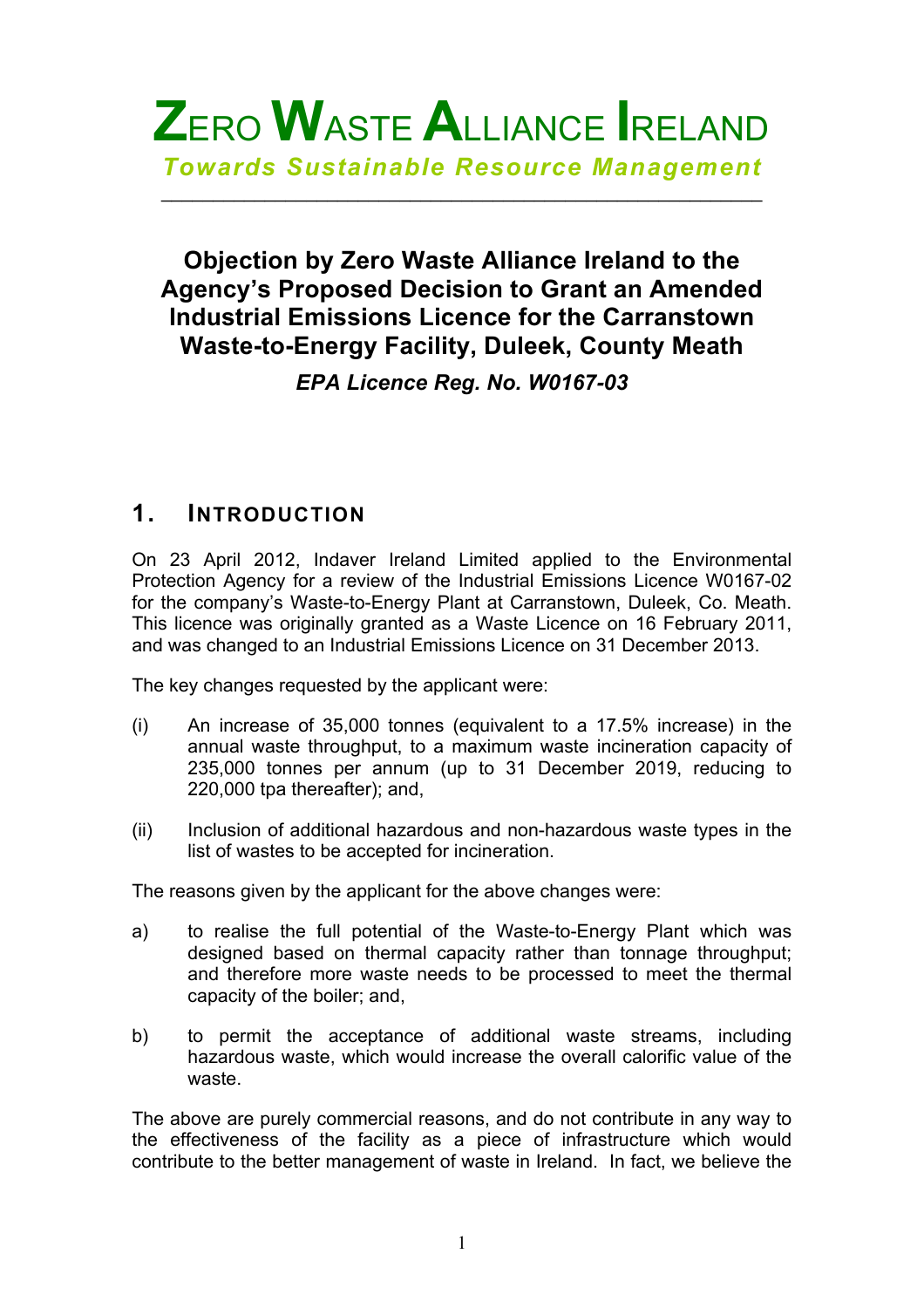

 $\mathcal{L}_\text{max} = \mathcal{L}_\text{max} = \mathcal{L}_\text{max} = \mathcal{L}_\text{max} = \mathcal{L}_\text{max} = \mathcal{L}_\text{max} = \mathcal{L}_\text{max} = \mathcal{L}_\text{max} = \mathcal{L}_\text{max} = \mathcal{L}_\text{max} = \mathcal{L}_\text{max} = \mathcal{L}_\text{max} = \mathcal{L}_\text{max} = \mathcal{L}_\text{max} = \mathcal{L}_\text{max} = \mathcal{L}_\text{max} = \mathcal{L}_\text{max} = \mathcal{L}_\text{max} = \mathcal{$ 

# **Objection by Zero Waste Alliance Ireland to the Agency's Proposed Decision to Grant an Amended Industrial Emissions Licence for the Carranstown Waste-to-Energy Facility, Duleek, County Meath** *EPA Licence Reg. No. W0167-03*

## **1. INTRODUCTION**

On 23 April 2012, Indaver Ireland Limited applied to the Environmental Protection Agency for a review of the Industrial Emissions Licence W0167-02 for the company's Waste-to-Energy Plant at Carranstown, Duleek, Co. Meath. This licence was originally granted as a Waste Licence on 16 February 2011, and was changed to an Industrial Emissions Licence on 31 December 2013.

The key changes requested by the applicant were:

- (i) An increase of 35,000 tonnes (equivalent to a 17.5% increase) in the annual waste throughput, to a maximum waste incineration capacity of 235,000 tonnes per annum (up to 31 December 2019, reducing to 220,000 tpa thereafter); and,
- (ii) Inclusion of additional hazardous and non-hazardous waste types in the list of wastes to be accepted for incineration.

The reasons given by the applicant for the above changes were:

- a) to realise the full potential of the Waste-to-Energy Plant which was designed based on thermal capacity rather than tonnage throughput; and therefore more waste needs to be processed to meet the thermal capacity of the boiler; and,
- b) to permit the acceptance of additional waste streams, including hazardous waste, which would increase the overall calorific value of the waste.

The above are purely commercial reasons, and do not contribute in any way to the effectiveness of the facility as a piece of infrastructure which would contribute to the better management of waste in Ireland. In fact, we believe the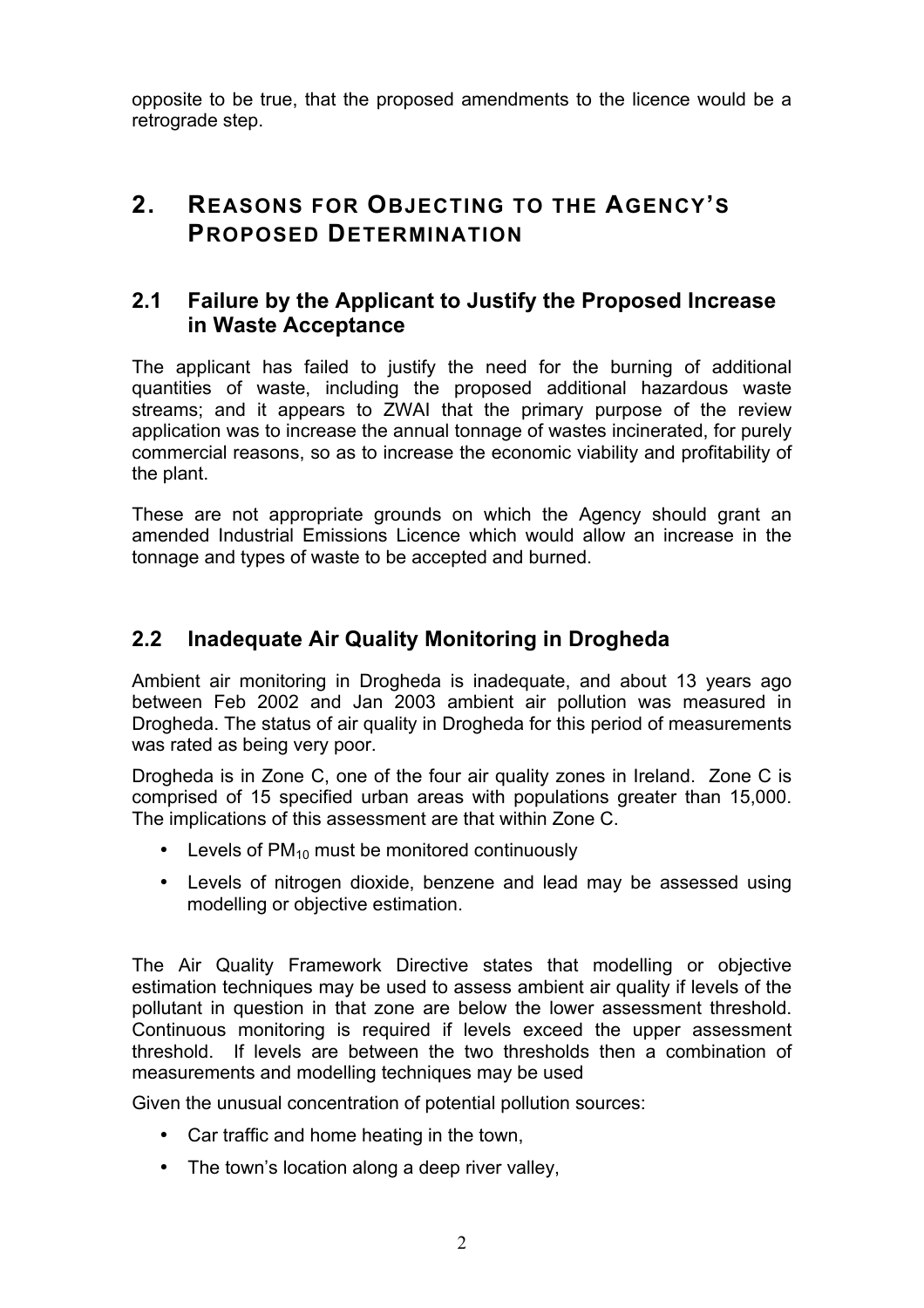opposite to be true, that the proposed amendments to the licence would be a retrograde step.

# **2. REASONS FOR OBJECTING TO THE AGENCY'S PROPOSED DETERMINATION**

#### **2.1 Failure by the Applicant to Justify the Proposed Increase in Waste Acceptance**

The applicant has failed to justify the need for the burning of additional quantities of waste, including the proposed additional hazardous waste streams; and it appears to ZWAI that the primary purpose of the review application was to increase the annual tonnage of wastes incinerated, for purely commercial reasons, so as to increase the economic viability and profitability of the plant.

These are not appropriate grounds on which the Agency should grant an amended Industrial Emissions Licence which would allow an increase in the tonnage and types of waste to be accepted and burned.

## **2.2 Inadequate Air Quality Monitoring in Drogheda**

Ambient air monitoring in Drogheda is inadequate, and about 13 years ago between Feb 2002 and Jan 2003 ambient air pollution was measured in Drogheda. The status of air quality in Drogheda for this period of measurements was rated as being very poor.

Drogheda is in Zone C, one of the four air quality zones in Ireland. Zone C is comprised of 15 specified urban areas with populations greater than 15,000. The implications of this assessment are that within Zone C.

- Levels of  $PM_{10}$  must be monitored continuously
- Levels of nitrogen dioxide, benzene and lead may be assessed using modelling or objective estimation.

The Air Quality Framework Directive states that modelling or objective estimation techniques may be used to assess ambient air quality if levels of the pollutant in question in that zone are below the lower assessment threshold. Continuous monitoring is required if levels exceed the upper assessment threshold. If levels are between the two thresholds then a combination of measurements and modelling techniques may be used

Given the unusual concentration of potential pollution sources:

- Car traffic and home heating in the town,
- The town's location along a deep river valley,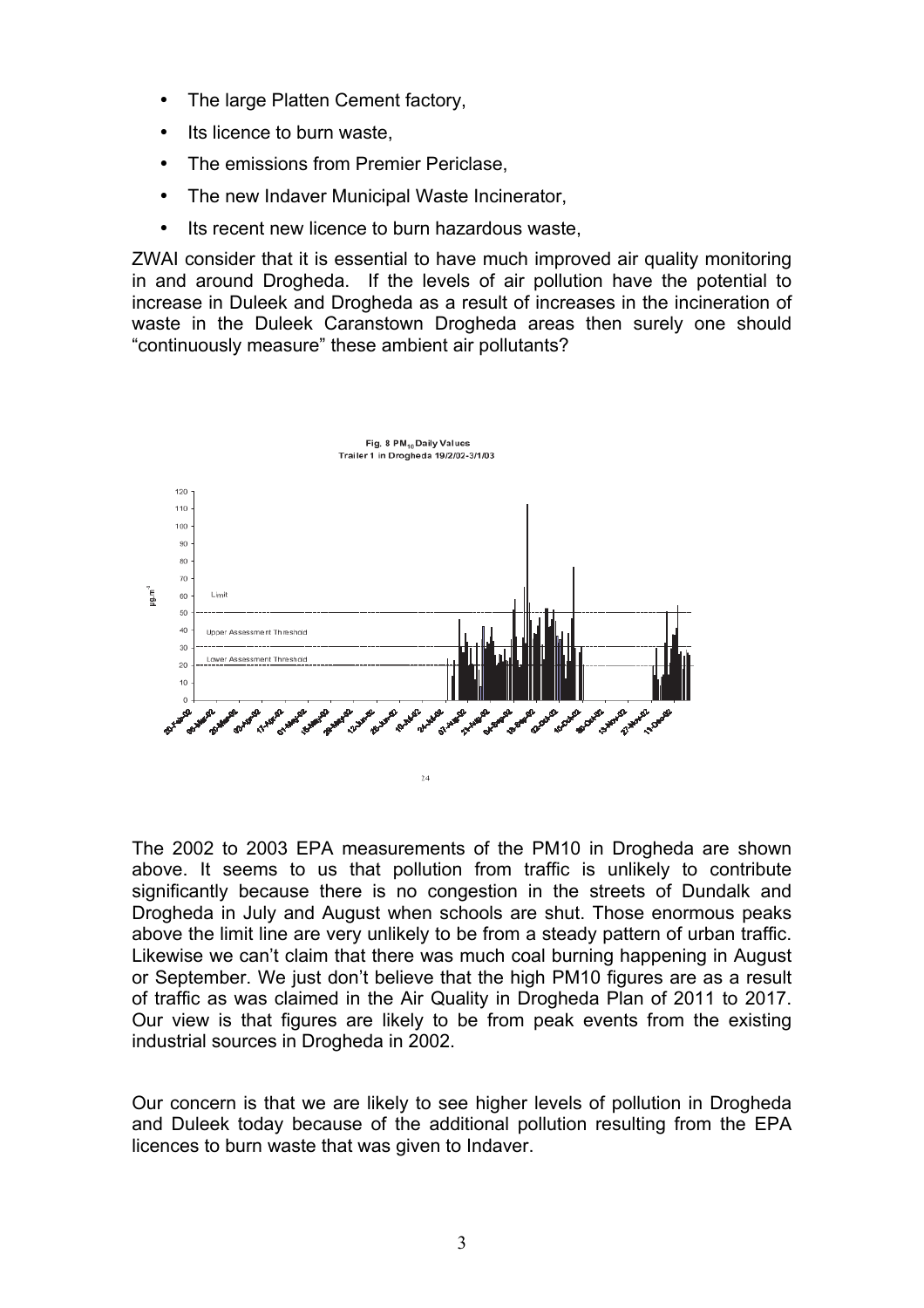- The large Platten Cement factory,
- Its licence to burn waste,
- The emissions from Premier Periclase,
- The new Indaver Municipal Waste Incinerator,
- Its recent new licence to burn hazardous waste,

ZWAI consider that it is essential to have much improved air quality monitoring in and around Drogheda. If the levels of air pollution have the potential to increase in Duleek and Drogheda as a result of increases in the incineration of waste in the Duleek Caranstown Drogheda areas then surely one should "continuously measure" these ambient air pollutants?



The 2002 to 2003 EPA measurements of the PM10 in Drogheda are shown above. It seems to us that pollution from traffic is unlikely to contribute significantly because there is no congestion in the streets of Dundalk and Drogheda in July and August when schools are shut. Those enormous peaks above the limit line are very unlikely to be from a steady pattern of urban traffic. Likewise we can't claim that there was much coal burning happening in August or September. We just don't believe that the high PM10 figures are as a result of traffic as was claimed in the Air Quality in Drogheda Plan of 2011 to 2017. Our view is that figures are likely to be from peak events from the existing industrial sources in Drogheda in 2002.

Our concern is that we are likely to see higher levels of pollution in Drogheda and Duleek today because of the additional pollution resulting from the EPA licences to burn waste that was given to Indaver.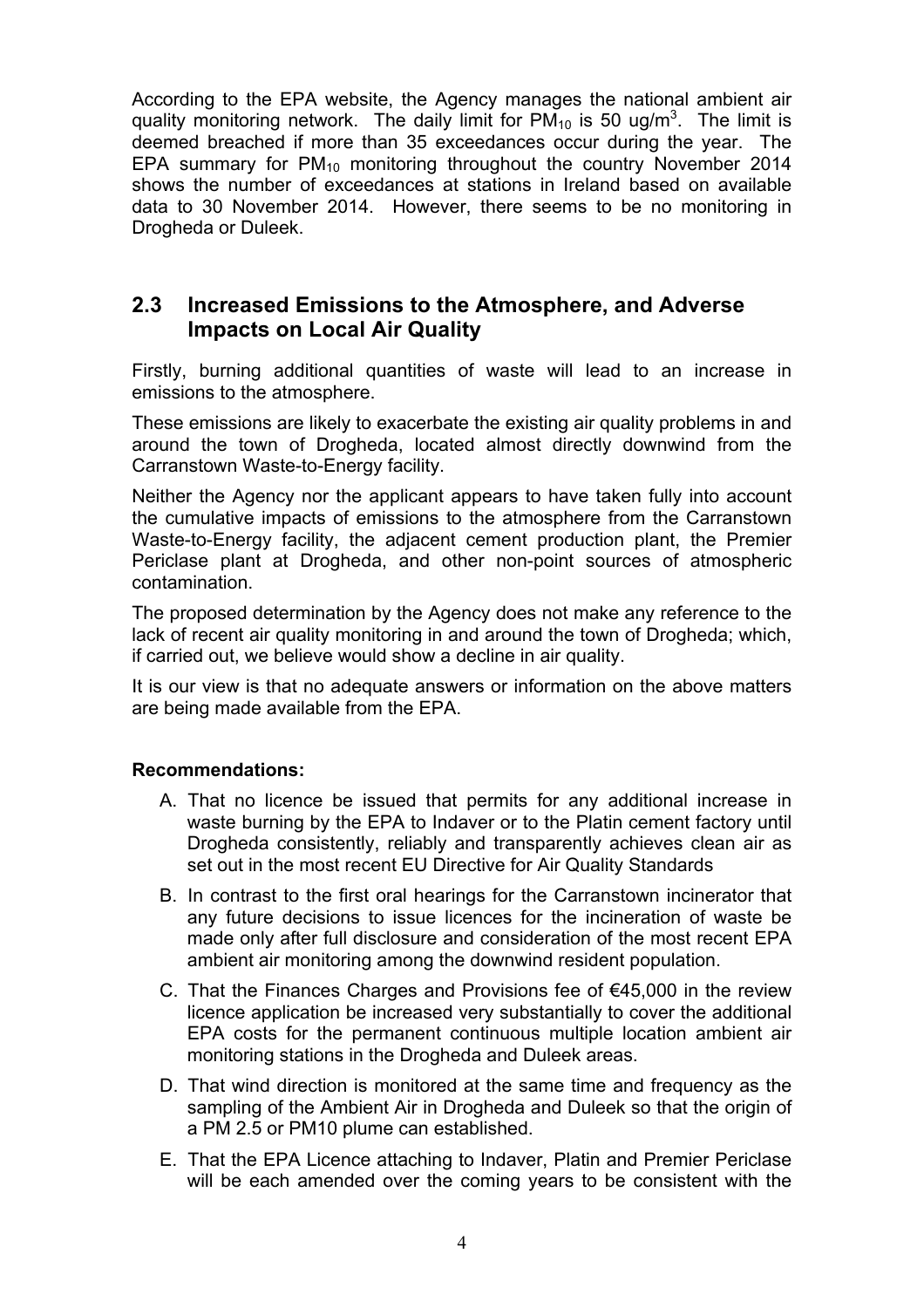According to the EPA website, the Agency manages the national ambient air quality monitoring network. The daily limit for  $PM_{10}$  is 50 ug/m<sup>3</sup>. The limit is deemed breached if more than 35 exceedances occur during the year. The EPA summary for  $PM_{10}$  monitoring throughout the country November 2014 shows the number of exceedances at stations in Ireland based on available data to 30 November 2014. However, there seems to be no monitoring in Drogheda or Duleek.

### **2.3 Increased Emissions to the Atmosphere, and Adverse Impacts on Local Air Quality**

Firstly, burning additional quantities of waste will lead to an increase in emissions to the atmosphere.

These emissions are likely to exacerbate the existing air quality problems in and around the town of Drogheda, located almost directly downwind from the Carranstown Waste-to-Energy facility.

Neither the Agency nor the applicant appears to have taken fully into account the cumulative impacts of emissions to the atmosphere from the Carranstown Waste-to-Energy facility, the adjacent cement production plant, the Premier Periclase plant at Drogheda, and other non-point sources of atmospheric contamination.

The proposed determination by the Agency does not make any reference to the lack of recent air quality monitoring in and around the town of Drogheda; which, if carried out, we believe would show a decline in air quality.

It is our view is that no adequate answers or information on the above matters are being made available from the EPA.

#### **Recommendations:**

- A. That no licence be issued that permits for any additional increase in waste burning by the EPA to Indaver or to the Platin cement factory until Drogheda consistently, reliably and transparently achieves clean air as set out in the most recent EU Directive for Air Quality Standards
- B. In contrast to the first oral hearings for the Carranstown incinerator that any future decisions to issue licences for the incineration of waste be made only after full disclosure and consideration of the most recent EPA ambient air monitoring among the downwind resident population.
- C. That the Finances Charges and Provisions fee of €45,000 in the review licence application be increased very substantially to cover the additional EPA costs for the permanent continuous multiple location ambient air monitoring stations in the Drogheda and Duleek areas.
- D. That wind direction is monitored at the same time and frequency as the sampling of the Ambient Air in Drogheda and Duleek so that the origin of a PM 2.5 or PM10 plume can established.
- E. That the EPA Licence attaching to Indaver, Platin and Premier Periclase will be each amended over the coming years to be consistent with the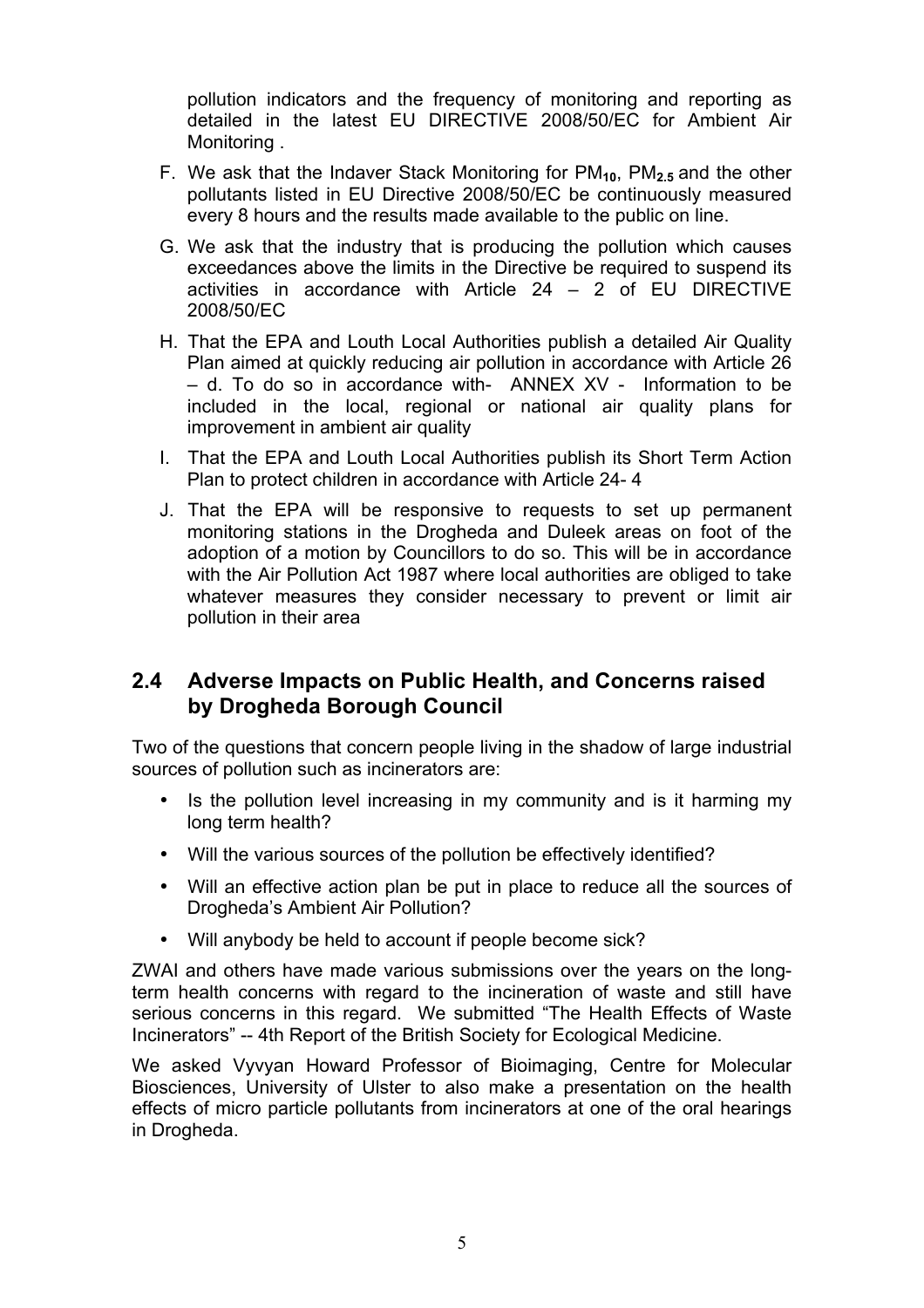pollution indicators and the frequency of monitoring and reporting as detailed in the latest EU DIRECTIVE 2008/50/EC for Ambient Air Monitoring .

- F. We ask that the Indaver Stack Monitoring for PM**10**, PM**2.5** and the other pollutants listed in EU Directive 2008/50/EC be continuously measured every 8 hours and the results made available to the public on line.
- G. We ask that the industry that is producing the pollution which causes exceedances above the limits in the Directive be required to suspend its activities in accordance with Article 24 – 2 of EU DIRECTIVE 2008/50/EC
- H. That the EPA and Louth Local Authorities publish a detailed Air Quality Plan aimed at quickly reducing air pollution in accordance with Article 26 – d. To do so in accordance with- ANNEX XV - Information to be included in the local, regional or national air quality plans for improvement in ambient air quality
- I. That the EPA and Louth Local Authorities publish its Short Term Action Plan to protect children in accordance with Article 24- 4
- J. That the EPA will be responsive to requests to set up permanent monitoring stations in the Drogheda and Duleek areas on foot of the adoption of a motion by Councillors to do so. This will be in accordance with the Air Pollution Act 1987 where local authorities are obliged to take whatever measures they consider necessary to prevent or limit air pollution in their area

### **2.4 Adverse Impacts on Public Health, and Concerns raised by Drogheda Borough Council**

Two of the questions that concern people living in the shadow of large industrial sources of pollution such as incinerators are:

- Is the pollution level increasing in my community and is it harming my long term health?
- Will the various sources of the pollution be effectively identified?
- Will an effective action plan be put in place to reduce all the sources of Drogheda's Ambient Air Pollution?
- Will anybody be held to account if people become sick?

ZWAI and others have made various submissions over the years on the longterm health concerns with regard to the incineration of waste and still have serious concerns in this regard. We submitted "The Health Effects of Waste Incinerators" -- 4th Report of the British Society for Ecological Medicine.

We asked Vyvyan Howard Professor of Bioimaging, Centre for Molecular Biosciences, University of Ulster to also make a presentation on the health effects of micro particle pollutants from incinerators at one of the oral hearings in Drogheda.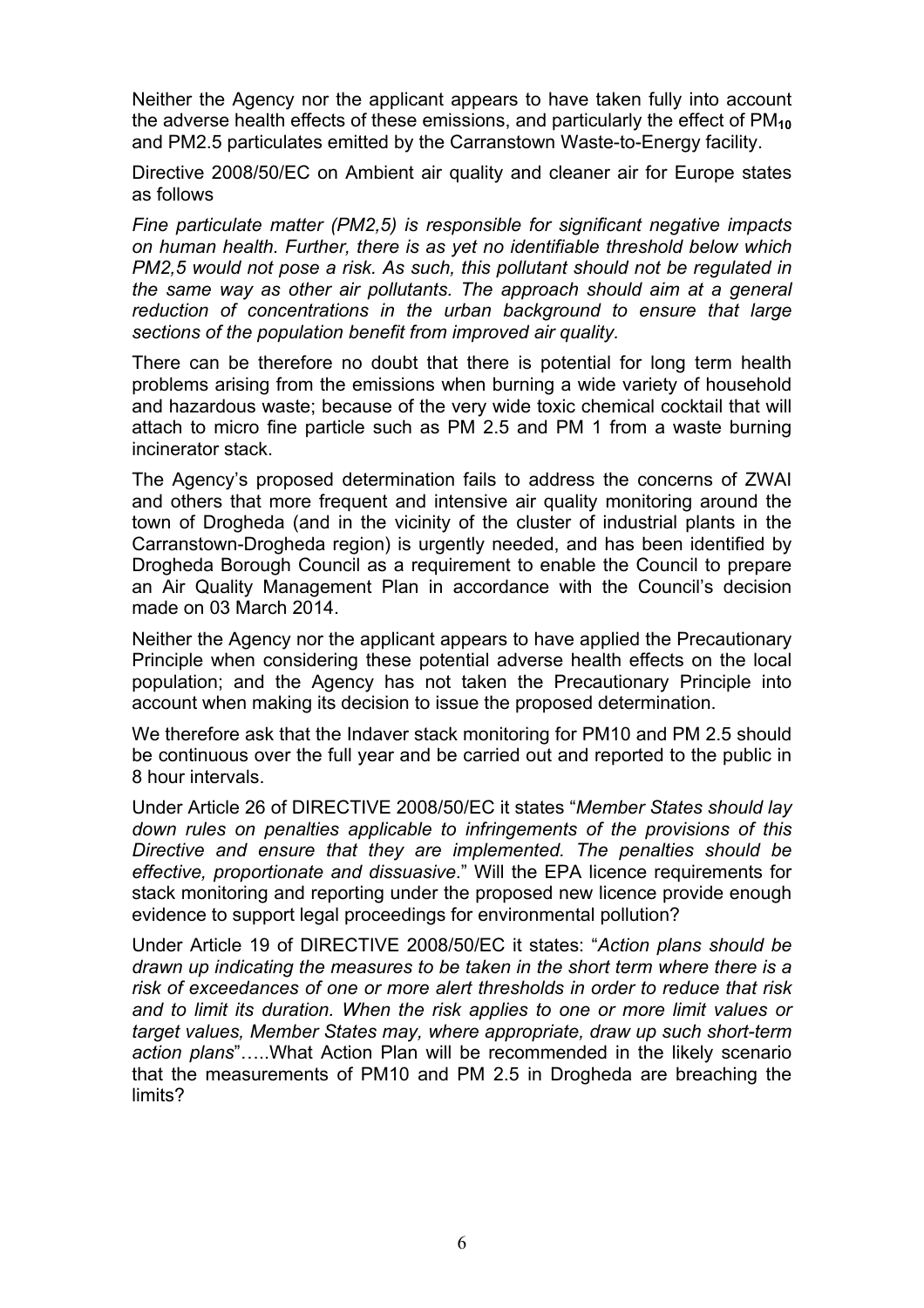Neither the Agency nor the applicant appears to have taken fully into account the adverse health effects of these emissions, and particularly the effect of PM**<sup>10</sup>** and PM2.5 particulates emitted by the Carranstown Waste-to-Energy facility.

Directive 2008/50/EC on Ambient air quality and cleaner air for Europe states as follows

*Fine particulate matter (PM2,5) is responsible for significant negative impacts on human health. Further, there is as yet no identifiable threshold below which PM2,5 would not pose a risk. As such, this pollutant should not be regulated in the same way as other air pollutants. The approach should aim at a general reduction of concentrations in the urban background to ensure that large sections of the population benefit from improved air quality.*

There can be therefore no doubt that there is potential for long term health problems arising from the emissions when burning a wide variety of household and hazardous waste; because of the very wide toxic chemical cocktail that will attach to micro fine particle such as PM 2.5 and PM 1 from a waste burning incinerator stack.

The Agency's proposed determination fails to address the concerns of ZWAI and others that more frequent and intensive air quality monitoring around the town of Drogheda (and in the vicinity of the cluster of industrial plants in the Carranstown-Drogheda region) is urgently needed, and has been identified by Drogheda Borough Council as a requirement to enable the Council to prepare an Air Quality Management Plan in accordance with the Council's decision made on 03 March 2014.

Neither the Agency nor the applicant appears to have applied the Precautionary Principle when considering these potential adverse health effects on the local population; and the Agency has not taken the Precautionary Principle into account when making its decision to issue the proposed determination.

We therefore ask that the Indaver stack monitoring for PM10 and PM 2.5 should be continuous over the full year and be carried out and reported to the public in 8 hour intervals.

Under Article 26 of DIRECTIVE 2008/50/EC it states "*Member States should lay down rules on penalties applicable to infringements of the provisions of this Directive and ensure that they are implemented. The penalties should be effective, proportionate and dissuasive*." Will the EPA licence requirements for stack monitoring and reporting under the proposed new licence provide enough evidence to support legal proceedings for environmental pollution?

Under Article 19 of DIRECTIVE 2008/50/EC it states: "*Action plans should be drawn up indicating the measures to be taken in the short term where there is a risk of exceedances of one or more alert thresholds in order to reduce that risk and to limit its duration. When the risk applies to one or more limit values or target values, Member States may, where appropriate, draw up such short-term action plans*"…..What Action Plan will be recommended in the likely scenario that the measurements of PM10 and PM 2.5 in Drogheda are breaching the limits?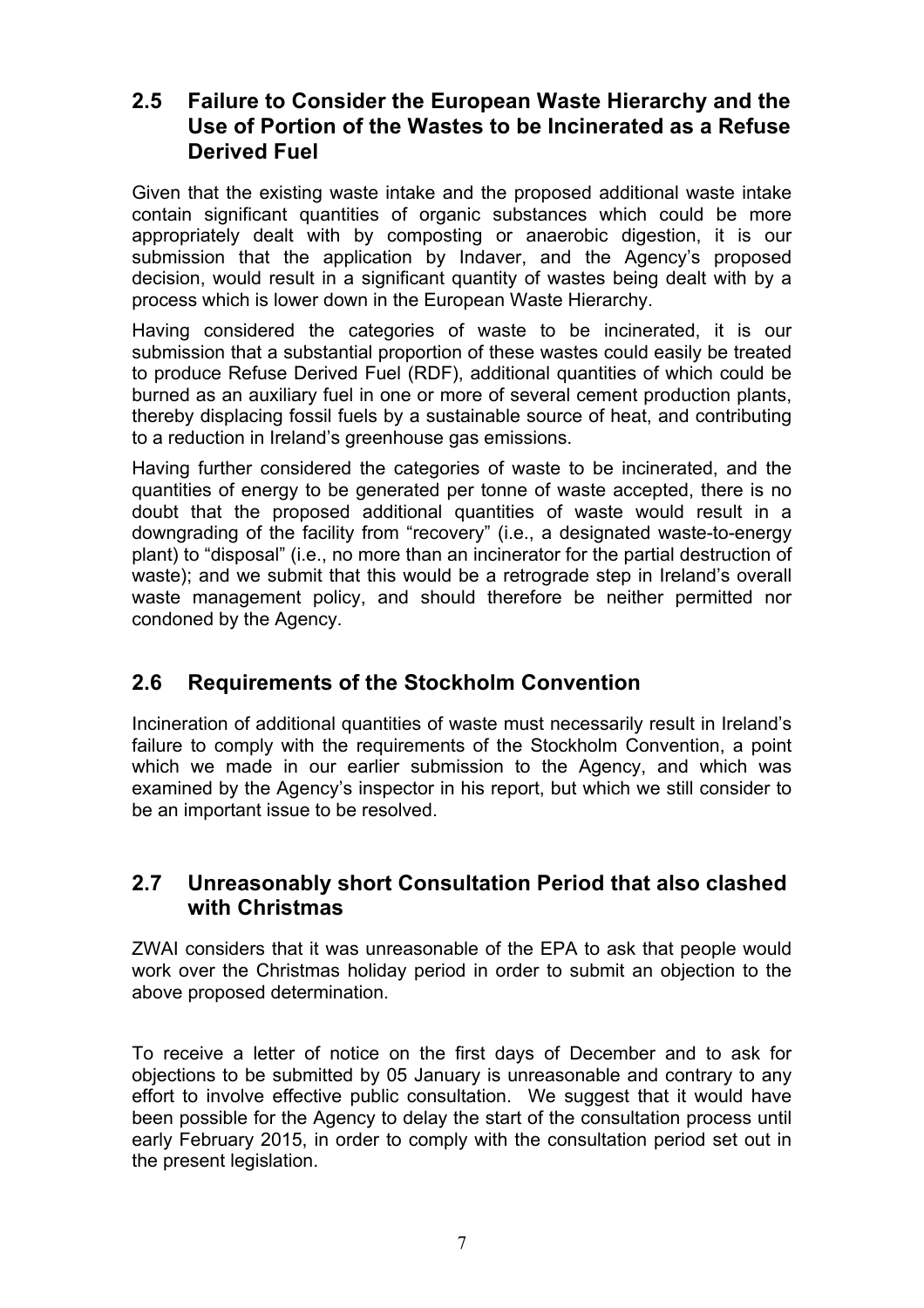#### **2.5 Failure to Consider the European Waste Hierarchy and the Use of Portion of the Wastes to be Incinerated as a Refuse Derived Fuel**

Given that the existing waste intake and the proposed additional waste intake contain significant quantities of organic substances which could be more appropriately dealt with by composting or anaerobic digestion, it is our submission that the application by Indaver, and the Agency's proposed decision, would result in a significant quantity of wastes being dealt with by a process which is lower down in the European Waste Hierarchy.

Having considered the categories of waste to be incinerated, it is our submission that a substantial proportion of these wastes could easily be treated to produce Refuse Derived Fuel (RDF), additional quantities of which could be burned as an auxiliary fuel in one or more of several cement production plants, thereby displacing fossil fuels by a sustainable source of heat, and contributing to a reduction in Ireland's greenhouse gas emissions.

Having further considered the categories of waste to be incinerated, and the quantities of energy to be generated per tonne of waste accepted, there is no doubt that the proposed additional quantities of waste would result in a downgrading of the facility from "recovery" (i.e., a designated waste-to-energy plant) to "disposal" (i.e., no more than an incinerator for the partial destruction of waste); and we submit that this would be a retrograde step in Ireland's overall waste management policy, and should therefore be neither permitted nor condoned by the Agency.

## **2.6 Requirements of the Stockholm Convention**

Incineration of additional quantities of waste must necessarily result in Ireland's failure to comply with the requirements of the Stockholm Convention, a point which we made in our earlier submission to the Agency, and which was examined by the Agency's inspector in his report, but which we still consider to be an important issue to be resolved.

## **2.7 Unreasonably short Consultation Period that also clashed with Christmas**

ZWAI considers that it was unreasonable of the EPA to ask that people would work over the Christmas holiday period in order to submit an objection to the above proposed determination.

To receive a letter of notice on the first days of December and to ask for objections to be submitted by 05 January is unreasonable and contrary to any effort to involve effective public consultation. We suggest that it would have been possible for the Agency to delay the start of the consultation process until early February 2015, in order to comply with the consultation period set out in the present legislation.